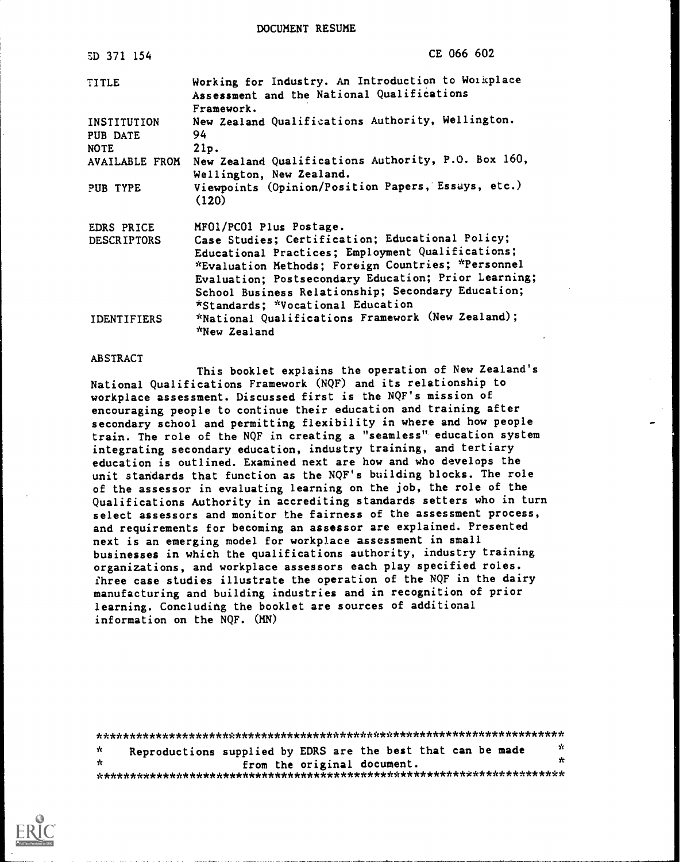DOCUMENT RESUME

| ED 371 154                             | CE 066 602                                                                                                                                                                                                                                                                                                     |
|----------------------------------------|----------------------------------------------------------------------------------------------------------------------------------------------------------------------------------------------------------------------------------------------------------------------------------------------------------------|
| <b>TITLE</b>                           | Working for Industry. An Introduction to Workplace<br>Assessment and the National Qualifications<br>Framework.                                                                                                                                                                                                 |
| INSTITUTION<br>PUB DATE<br><b>NOTE</b> | New Zealand Qualifications Authority, Wellington.<br>94<br>21p.                                                                                                                                                                                                                                                |
| AVAILABLE FROM                         | New Zealand Qualifications Authority, P.O. Box 160,<br>Wellington, New Zealand.                                                                                                                                                                                                                                |
| PUB TYPE                               | Viewpoints (Opinion/Position Papers, Essays, etc.)<br>(120)                                                                                                                                                                                                                                                    |
| EDRS PRICE                             | MFO1/PC01 Plus Postage.                                                                                                                                                                                                                                                                                        |
| <b>DESCRIPTORS</b>                     | Case Studies; Certification; Educational Policy;<br>Educational Practices; Employment Qualifications;<br>*Evaluation Methods; Foreign Countries; *Personnel<br>Evaluation; Postsecondary Education; Prior Learning;<br>School Business Relationship; Secondary Education;<br>*Standards; *Vocational Education |
| <b>IDENTIFIERS</b>                     | *National Qualifications Framework (New Zealand);<br>"New Zealand                                                                                                                                                                                                                                              |

### ABSTRACT

This booklet explains the operation of New Zealand's National Qualifications Framework (NQF) and its relationship to workplace assessment. Discussed first is the NQF's mission of encouraging people to continue their education and training after secondary school and permitting flexibility in where and how people train. The role of the NQF in creating a "seamless" education system integrating secondary education, industry training, and tertiary education is outlined. Examined next are how and who develops the unit standards that function as the NQF's building blocks. The role of the assessor in evaluating learning on the job, the role of the Qualifications Authority in accrediting standards setters who in turn select assessors and monitor the fairness of the assessment process, and requirements for becoming an assessor are explained. Presented next is an emerging model for workplace assessment in small businesses in which the qualifications authority, industry training organizations, and workplace assessors each play specified roles. fhree case studies illustrate the operation of the NQF in the dairy manufacturing and building industries and in recognition of prior learning. Concluding the booklet are sources of additional information on the NQF. (MN)

| ÷. |  | Reproductions supplied by EDRS are the best that can be made | -x |
|----|--|--------------------------------------------------------------|----|
| ÷  |  | from the original document.                                  | ۶ċ |
|    |  |                                                              |    |

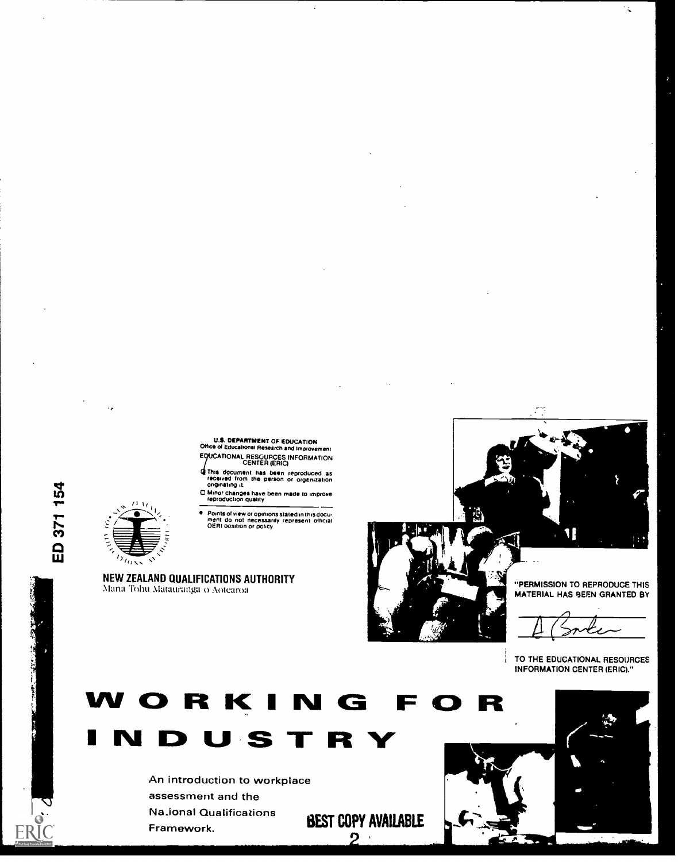



14

TO THE EDUCATIONAL RESOURCES INFORMATION CENTER (ERIC)."















Ť



"PERMISSION TO REPRODUCE THIS MATERIAL HAS BEEN GRANTED BY



ED 371 154

ERI<sup>c</sup>



NEW ZEALAND QUALIFICATIONS AUTHORITY

Mana Tohu Matauranga o Aotearoa

Points of view or opinions stated in this docu. ment do not necessarily represent official OERI position or pohcy

O Minor changes have been made to improve reproduction quality

This document has been reproduced as<br>received from the person or organization<br>originating it.

U.S. DEPARTMENT OF EDUCATION Mc\* of Educational Research and Improvement TIONAL RESOURCES INFORMATION CENTER (ERIC)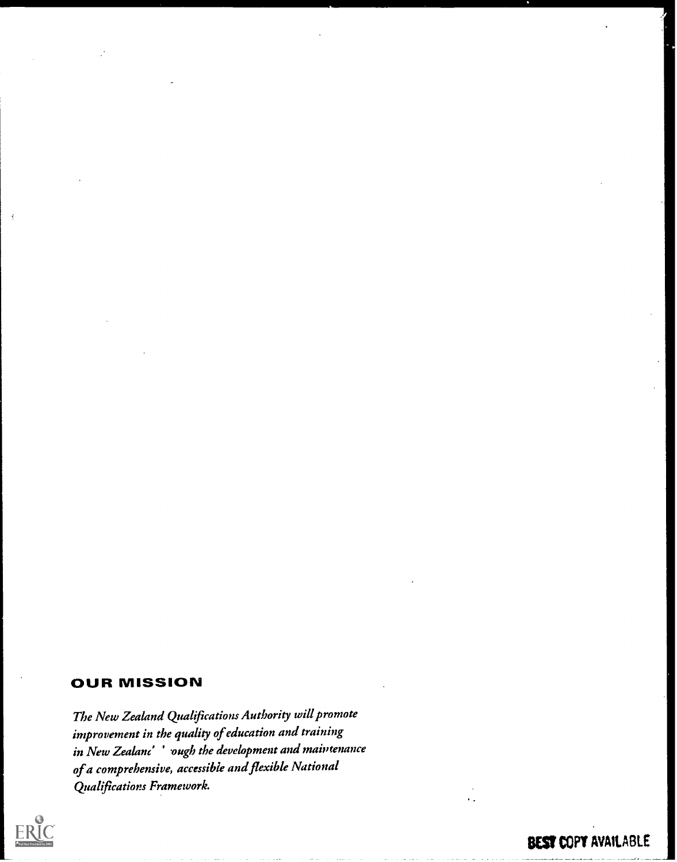# OUR MISSION

The New Zealand Qualifications Authority will promote improvement in the quality of education and training in New Zealand' ' ough the development and maintenance of a comprehensive, accessible and flexible National Qualifications Framework.

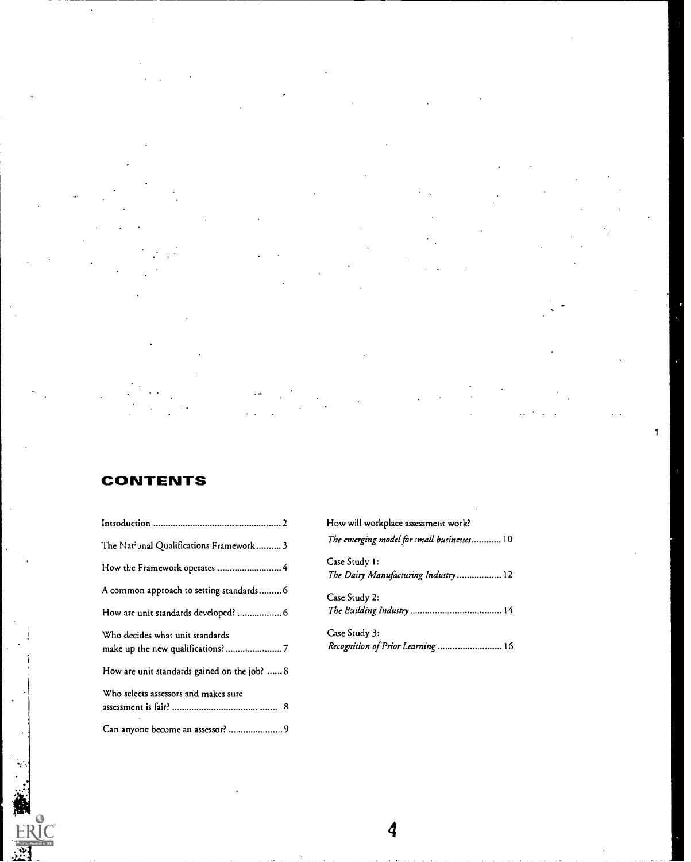1

# CONTENTS

ERIC<br>ERIC

|                                              | How will workplace assessment work?                  |
|----------------------------------------------|------------------------------------------------------|
| The Nati Jnal Qualifications Framework  3    | The emerging model for small businesses 1            |
| How the Framework operates  4                | Case Study 1:<br>The Dairy Manufacturing Industry  1 |
| A common approach to setting standards 6     | Case Study 2:                                        |
|                                              |                                                      |
| Who decides what unit standards              | Case Study 3:                                        |
| How are unit standards gained on the job?  8 |                                                      |
| Who selects assessors and makes sure         |                                                      |
| Can anyone become an assessor?  9            |                                                      |

|                                                      | How will workplace assessment work?                   |
|------------------------------------------------------|-------------------------------------------------------|
| The Nat <sup>2</sup> Jnal Qualifications Framework 3 | The emerging model for small businesses 10            |
| How the Framework operates  4                        | Case Study 1:<br>The Dairy Manufacturing Industry  12 |
| A common approach to setting standards 6             | Case Study 2:                                         |
|                                                      |                                                       |
| Who decides what unit standards                      | Case Study 3:<br>Recognition of Prior Learning  16    |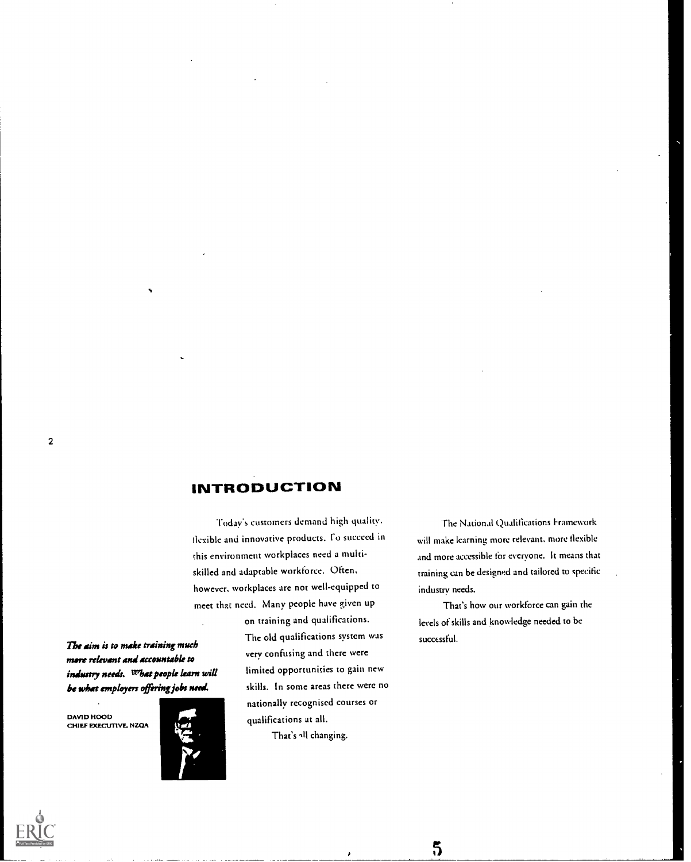### INTRODUCTION

Today's customers demand high quality. flexible and innovative products. fo succeed in this environment workplaces need a multiskilled and adaprable workforce. Often, however, workplaces are nor well-equipped to meet that need. Many people have given up on training and qualifications.

The aim is to make training much more relevant and accountable to indsatry needs. what people karn will be what employers offering jobs need.

DAVID HOOD CHIEF EXECUTVE. NZQA



The old qualifications system was very confusing and there were limited opportunities to gain new skills. In some areas there were no nationally recognised courses or qualifications at all.

That's all changing.

The National Qualifications Framework will make learning more relevant, more flexible and more accessible for everyone. It means that training can be designed and tailored to specific industry needs.

That's how our workforce can gain the levels of skills and knowledge needed to be successful.

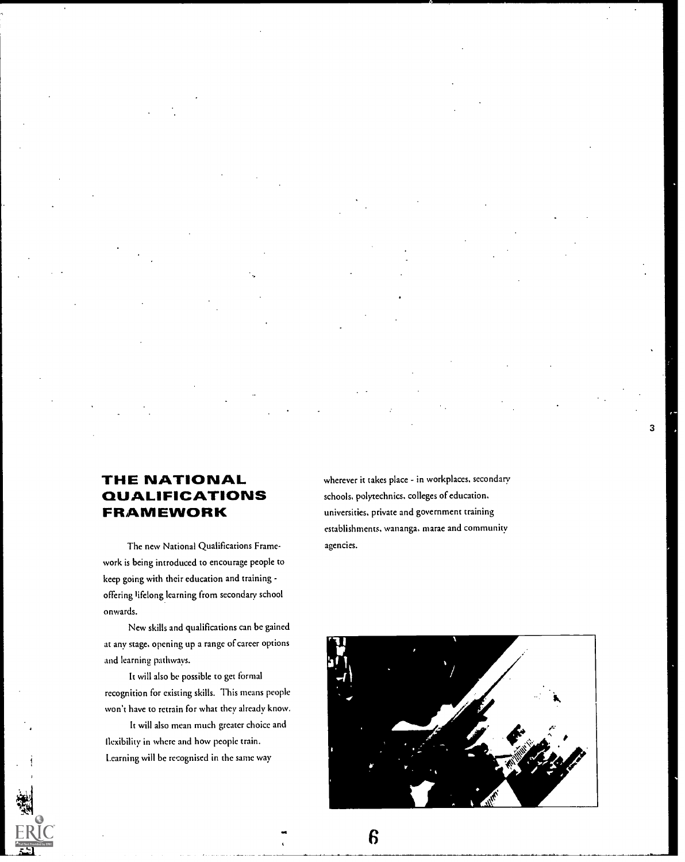### THE NATIONAL QUALIFICATIONS FRAMEWORK

The new National Qualifications Framework is being introduced to encourage people to keep going with their education and training offering lifelong learning from secondary school onwards.

New skills and qualifications can be gained at any stage, opening up a range of career options and learning pathways.

It will also be possible to get formal recognition for existing skills. This means people won't have to retrain for what they already know.

It will also mean much greater choice and llexibility in where and how people train. Learning will be recognised in the same way

wherever it takes place - in workplaces, secondary schools, polytechnics, colleges of education, universities, private and government training establishments, wananga, marae and community agencies.

3

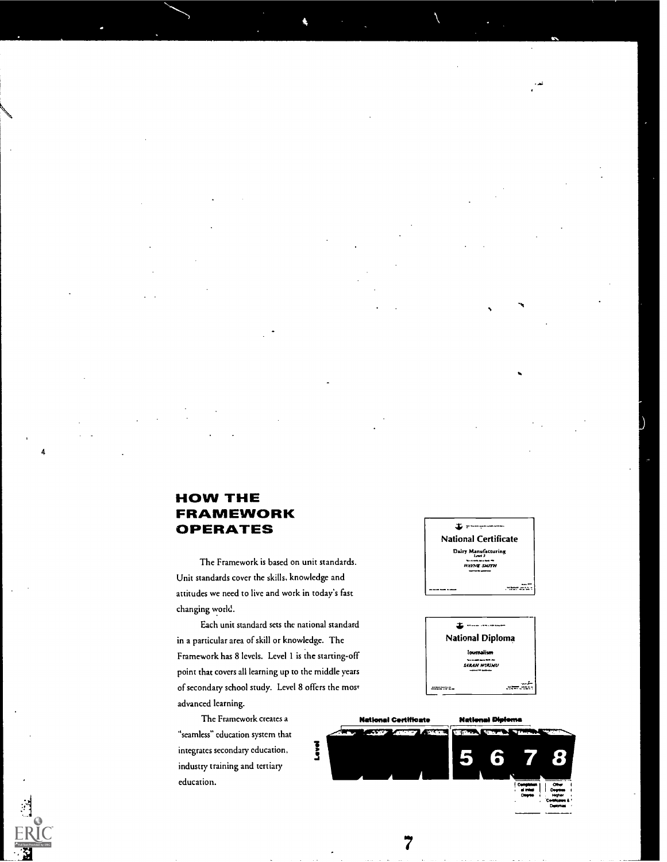# HOW THE FRAMEWORK OPERATES

4

The Framework is based on unit standards. Unit standards cover the skills, knowledge and attitudes we need to live and work in today's fast changing world.

Each unit standard sets the national standard in a particular area of skill or knowledge. The Framework has 8 levels. Level 1 is the starting-off point that covers all learning up to the middle years of secondary school study. Level 8 offers the most advanced learning.

The Framework creates a "seamless" education system that integrates secondary education, industry training and tertiary education.





National Certificate National Dieliana 5 6 Ouranotan I <sup>I</sup> Cann <sup>I</sup> a ram <sup>I</sup> Corm Domes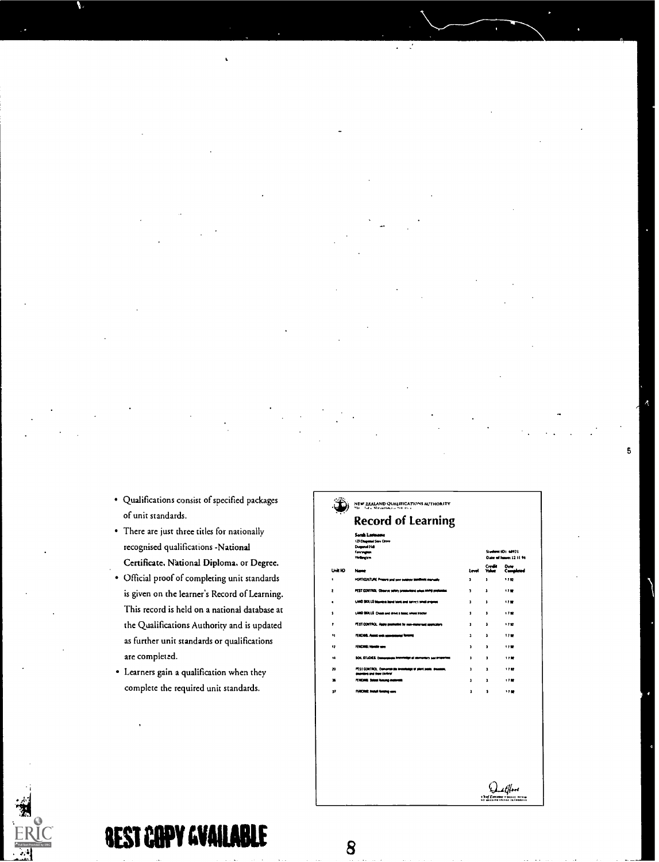- Qualifications consist of specified packages of unit standards.
- There arc just three titles for nationally recognised qualifications -National Certificate. National Diploma. or Degree.
- Official proof of completing unit standards is given on the learner's Record of Learning. This record is held on a national database at the Qualifications Authority and is updated as further unit standards or qualifications are completed.
- Learners gain a qualification when they complete the required unit standards.

|         | <b>Record of Learning</b>                                                                    |           |                                              |                   |
|---------|----------------------------------------------------------------------------------------------|-----------|----------------------------------------------|-------------------|
|         | Sarah Lastmane<br>123 Diseased Star Crive<br>Deposit 14                                      |           |                                              |                   |
|         | Forcegnan<br>Victorian                                                                       |           | Student (D: 6892)<br>Date of Januar 12 11 94 |                   |
| Unit ID | New                                                                                          | i mel     | Create<br><b>Value</b>                       | Date<br>Completed |
| ٠       | HORTICULTURE Presers and sew suspect stations manually                                       | ,         | ı                                            | 170               |
| 2       | PEST CONTROL Observe salely presentent when stating production                               | J.        | ı                                            | 1799              |
| ٠       | 1,000 SIXLLS bloomed bond tools and non-crimed angeles                                       | ,         | ,                                            | 17.99             |
| \$      | LAND SIXLS Chass and drive a lastic wheel backr                                              | ı         | a.                                           | 1737              |
|         | PEST CONTROL Apply producted by non-materials spokators                                      | ĭ.        | ٠                                            | 112               |
| 11      | FERCHIS, Asset and concerning forming                                                        | $\bullet$ | 2                                            | 1799              |
| 12      | FENDING: Hombi says                                                                          | J.        | ,                                            | 1799              |
| 14      | SOL STLOES: Description Internation of stampings you properties                              |           | ı.                                           | 1797              |
| 20      | PEST CONTROL Comprehensive Investment of plant parts, dealers,<br>depoters and their control | ı         | ı                                            | 1792              |
| x       | FENDING Select houses materials                                                              | ı         | ı                                            | 1750              |
| 11      | <b>FENCING: Install feature cars</b>                                                         | ı         | 1                                            | <b>*7 MF</b>      |

 $Q_{\text{ref}}$ 

 $\overline{\mathbf{5}}$ 



أزور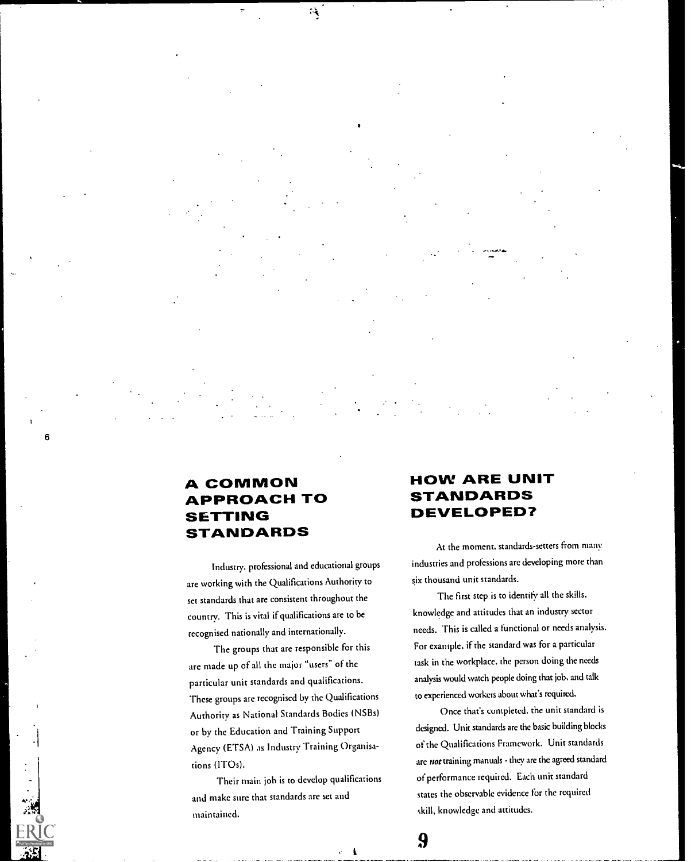### A COMMON APPROACH TO ETTING STANDARDS

6

Industry, professional and educational groups are working with the Qualifications Authority to set standards that are consistent throughout the country. This is vital if qualifications are to be recognised nationally and internationally.

 $\mathcal{A}$ 

The groups that are responsible for this are made up of all the major "users" of the particular unit standards and qualifications. These groups are recognised by the Qualifications Authority as National Standards Bodies (NSBs) or by the Education and Training Support Agency (ETSA) as Industry Training Organisations (IT0s).

Their main job is to develop qualifications and make sure that standards arc set and maintained.

### HOW ARE UNIT STANDARDS DEVELOPED?

At the moment, standards-setters from many industries and professions are developing more than six thousand unit standards.

The first step is to identify all the skills, knowledge and attitudes that an industry sector needs. This is called a functional or needs analysis. For example, if the standard was for a particular task in the workplace. the person doing the needs analysis would watch people doing that job, and talk to experienced workers about what's required.

Once that's completed. the unit standard is designed. Unit standards are the basic building blocks of the Qualifications Framework. Unit standards are not training manuals - they are the agreed standard of performance required. Each unit standard states the observable evidence for the required ckill, knowledge and attitudes.

-1

 $\boldsymbol{\theta}$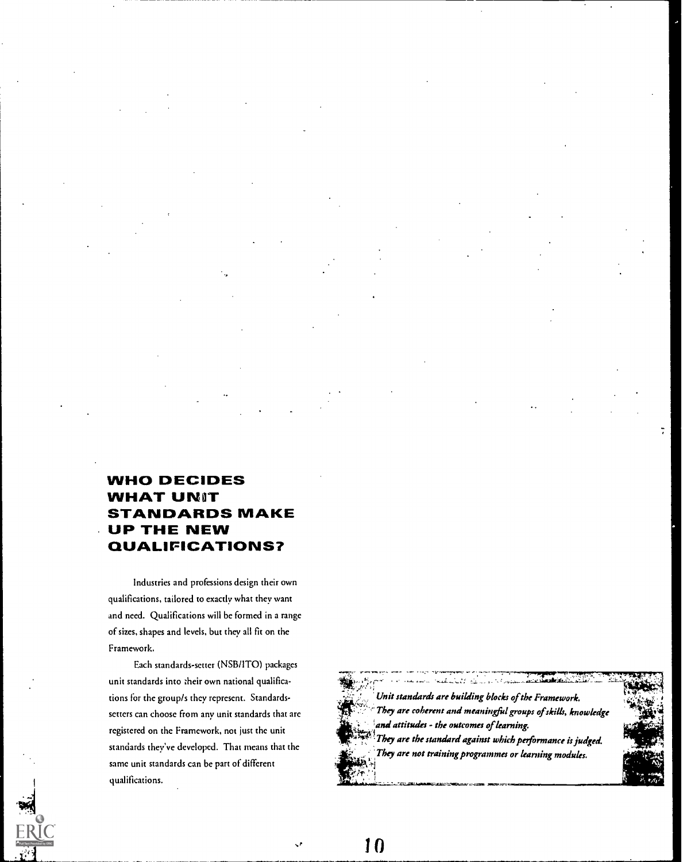# WHO DECIDES WHAT UNIT STANDARDS MAKE UP THE NEW QUALIFICATIONS?

Industries and professions design their own qualifications, tailored to exactly what they want and need. Qualifications will be formed in a range of sizes, shapes and levels, but they all fit on the Framework.

Each standards-setter (NSB/1TO) packages unit standards into their own national qualifications for the group/s thcy represent. Standardssetters can choose from any unit standards that arc registered on the Framework, not just the unit standards they've developed. That means that the same unit standards can be part of different qualifications.



<u>. . . . . . . . . . . . . . . . .</u> Unit standards are building blocks of the Framework. They are coherent and meaningfid groups of skills, knowledge and attitudes - the outcomes of learning. They are the standard against which performance is judged. They are not training programmes or learning modules.

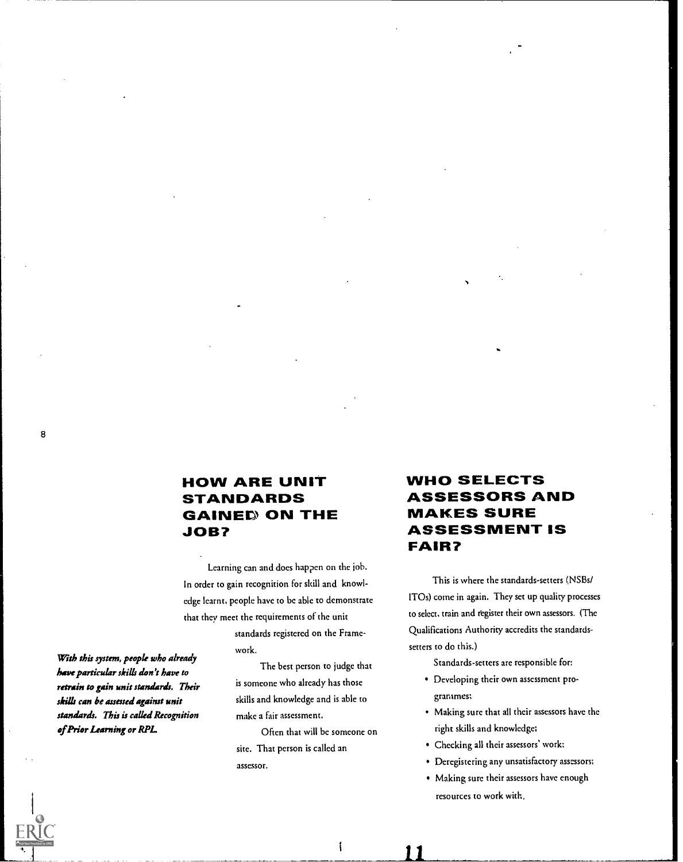### HOW ARE UNIT STANDARDS GAINED ON THE JOB?

Learning can and does happen on the job. In order to gain recognition for skill and knowledge learnt, people have to be able to demonstrate that they meet the requirements of the unit

> standards registered on the Framework.

The best person to judge that is someone who already has those skills and knowledge and is able to make a fair assessment.

Often that will be someone on sitc. That person is called an assessor.

### WHO SELECTS ASSESSORS AND MAKES SURE ASSESSMENT IS FAIR?

This is where the standards-setters (NSBs/ ITOs) come in again. They set up quality processes to select, train and register their own assessors. (The Qualifications Authority accredits the standardssetters to do this.)

Standards-setters are responsible for;

- Developing their own assessment programmes;
- Making sure chat all their assessors have the right skills and knowledge;
- Checking all their assessors' work;
- Deregistering any unsatisfactory assessors;
- Making sure their assessors have enough resources to work with,

With this system, people who already have particular skills don't have to retrain to gain unit standards. Their skills can be assessed against unit standards. This is called Recognition of Prior Learning or RPL

 $\mathbf{I}$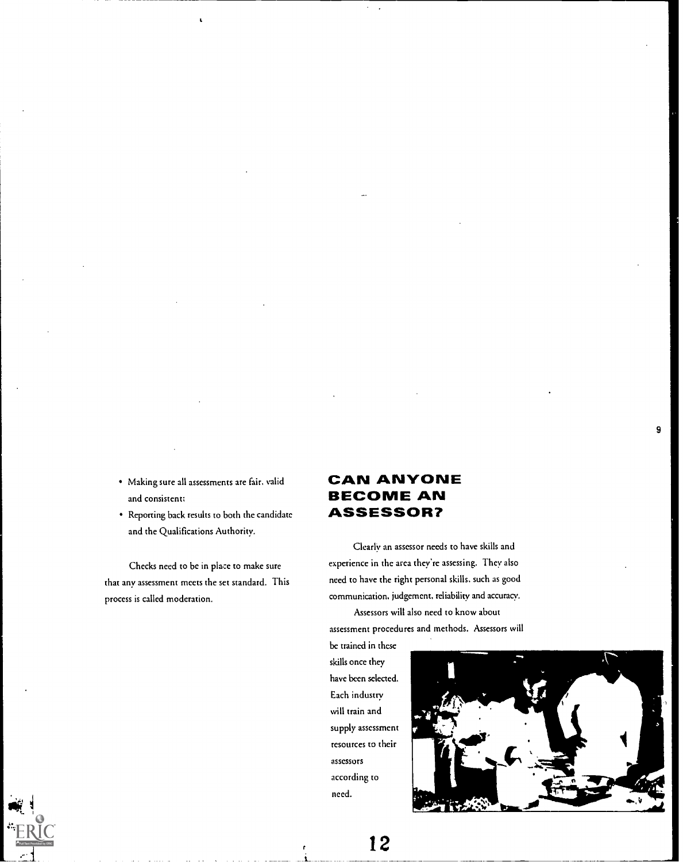- Making sure all assessments are fair, valid and consistent;
- Reporting back results to both the candidate and the Qualifications Authority.

Checks need co be in place to make sure that any assessment meets the set standard. This process is called moderation.

### CAN ANYONE BECOME AN ASSESSOR?

Clearly an assessor needs to have skills and experience in the arca they're assessing. They also need to have the right personal skills, such as good communication, judgement, reliability and accuracy.

Assessors will also need to know about assessment procedures and methods. Assessors will

be trained in these skills once they have been selected. Each industry will train and supply assessment resources to their assessors according to need.



9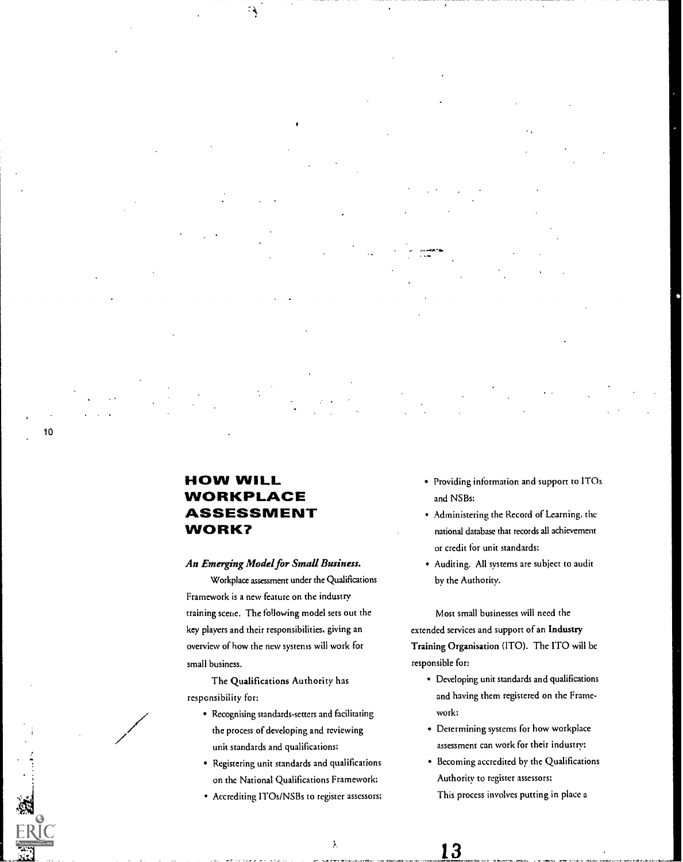10

### HOW WILL WORKPLACE ASSESSMENT WORK?

્ર

### An Emerging Model for Small Business.

Workplace assessment undcr the Qualifications Framework is a new feature on the industry training scene. The following model sets out the key players and their responsibilities, giving an overview of how the new systems will work for small business.

The Qualifications Authority has responsibility for:

- Recognising standards-setters and facilitating the process of developing and reviewing unit standards and qualifications;
- Registering unit standards and qualifications on thc National Qualifications Framework;
- Accrediting ITOs/NSBs to register assessors;
- Providing information and support to ITOs and NSBs;
- Administering the Record of Learning, the national database that records all achievement or credit for unit standards;
- Auditing. All systems are subject to audit by the Authority.

Most small businesses will need the extended services and support of an Industry Training Organisation (ITO). The ITO will be responsible for:

- Developing unit standards and qualifications and having them registered on the Framework;
- Determining systems for how workplace assessment can work for their industry;
- Becoming accredited by the Qualifications Authority to register assessors; This process involves putting in place a

13

Ĵ.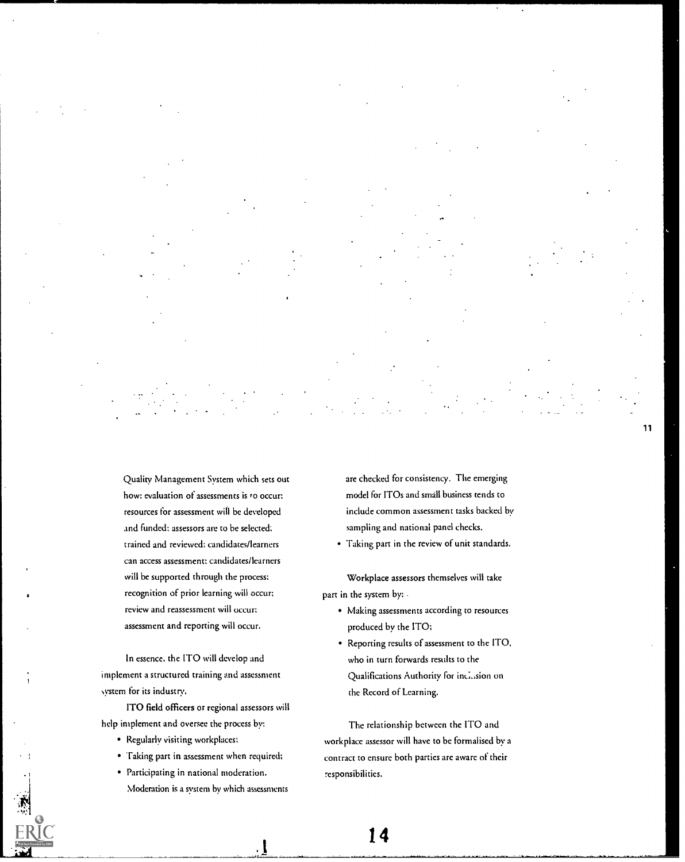Quality Management System which sets out how: evaluation of assessments is to occur; resources for assessment will be developed and funded; assessors are to be selected: trained and reviewed; candidates/learners can access assessment; candidates/learners will be supported through the process; recognition of prior learning will occur; review and reassessment will occur; assessment and reporting will occur.

In essence, the ITO will develop and implement a structured training and assessment system for its industry.

ITO field officers or regional assessors will help implement and oversee the process by:

- Regularly visiting workplaces;
- Taking part in assessment when required;
- Participating in national moderation. Moderation is a system by which assessments

are checked for consistency. The emerging model for ITOs and small business tends to include common assessment tasks backed by sampling and national panel checks.

11

Taking part in the review of unit standards.

Workplace assessors themselves will take part in the system by: .

- Making assessments according to resources produced by the ITO;
- Reporting results of assessment to the ITO, who in turn forwards results to the Qualifications Authority for inclusion on the Record of Learning.

The relationship between the ITO and workplace assessor will have to be formalised by a contract to ensure both parties are aware of their responsibilities.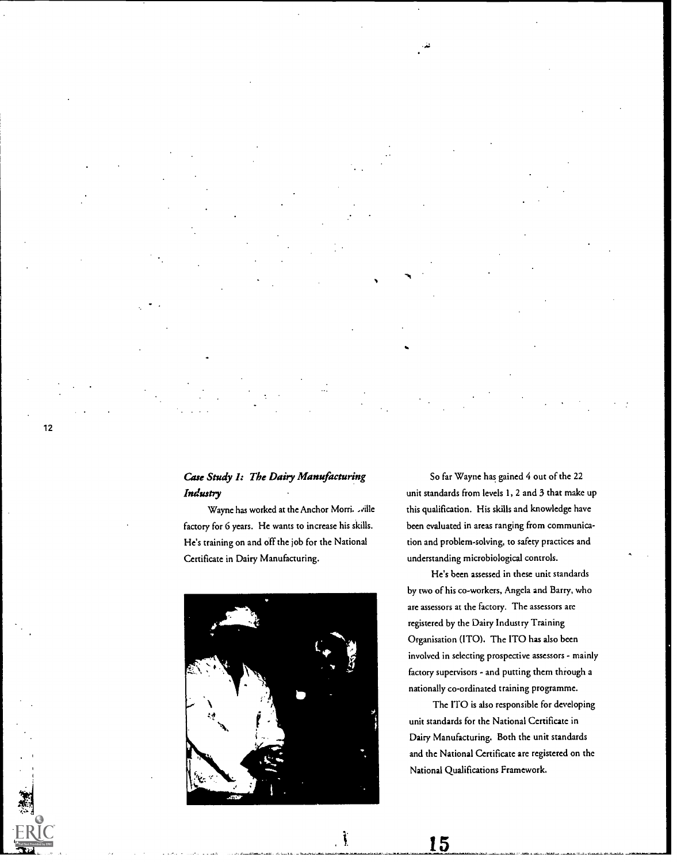### Case Study I: The Dairy Manufacturing Industry

Wayne has worked at the Anchor Morri. ville factory for 6 years. He wants to increase his skills. He's training on and off the job for the National Certificate in Dairy Manufacturing.



 $\mathbf{\i}$ 

So far Wayne has gained 4 out of the 22 unit standards from levels 1, 2 and 3 that make up this qualification. His skills and knowledge have been evaluated in areas ranging from communication and problem-solving, to safety practices and understanding microbiological controls.

He's been assessed in these unit standards by two of his co-workers, Angela and Barry, who are assessors at the factory. The assessors are registered by the Dairy Industry Training Organisation (ITO). The ITO has also been involved in selecting prospective assessors - mainly factory supervisors - and putting thcm through a nationally co-ordinated training programme.

The ITO is also responsible for developing unit standards for the National Certificate in Dairy Manufacturing. Both the unit standards and the National Certificate are registered on the National Qualifications Framework.

15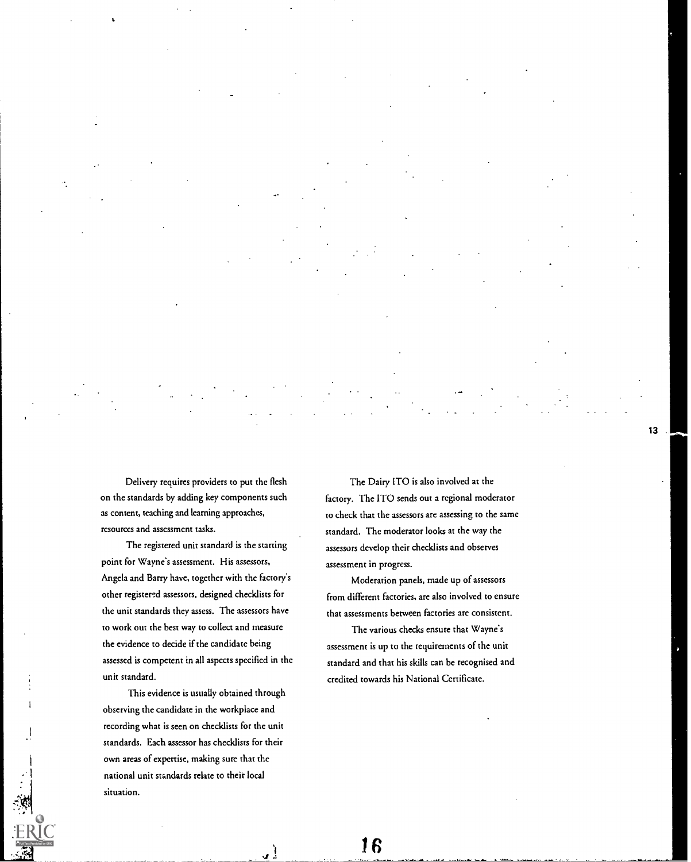Delivery requires providers to put the flesh on the standards by adding key components such as content, teaching and learning approaches, resources and assessment tasks.

The registered unit standard is the starting point for Wayne's assessment. His assessors, Angela and Barry have, together with the factory's other registered assessors, designed checklists for the unit standards thcy assess. The assessors have to work out the best way to collect and measure the evidence to decide if the candidate being assessed is competent in all aspects specified in the unit standard.

This evidence is usually obtained through observing the candidate in the workplace and recording what is seen on checklists for thc unit standards. Each assessor has checklists for their own areas of expertise, making sure that thc national unit standards relate to their local situation.

The Dairy ITO is also involved at the factory. The ITO sends out a regional moderator to check that the assessors are assessing to the same standard. The moderator looks at the way the assessors develop their checklists and observes assessment in progress.

Moderation panels, made up of assessors from different factories, are also involved to ensure that assessments between factories are consistent.

The various checks ensure that Wayne's assessment is up to the requirements of the unit standard and that his skills can be recognised and credited towards his National Certificate.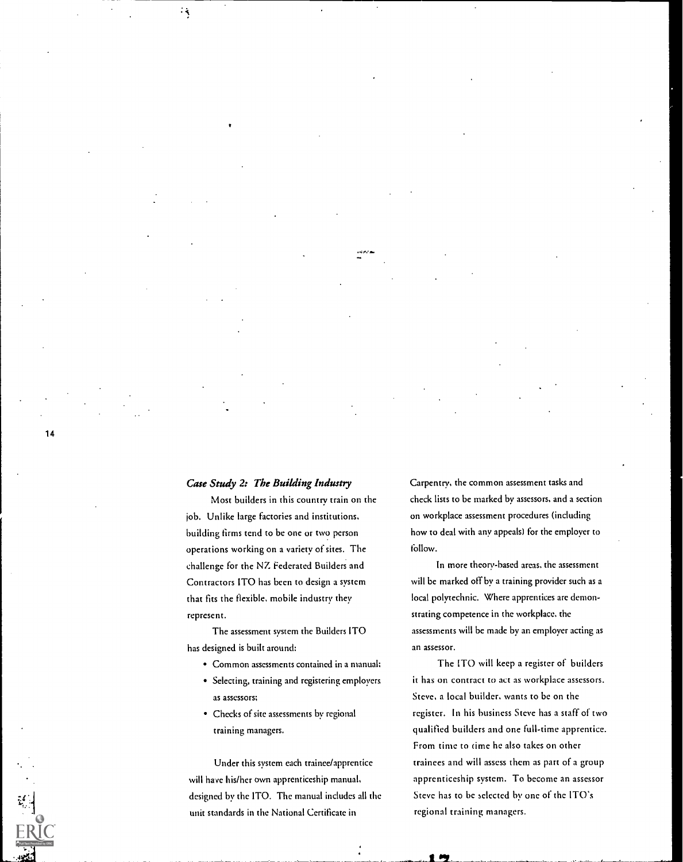### Case Study 2: The Building Industry

 $\cdot$  ,

Most builders in this country train on the job. Unlike large factories and institutions, building firms tend to be one or two person operations working on a variety of sites. The challenge for the NZ Federated Builders and Contractors ITO has been to design a system that fits the flexible, mobile industry they represent.

The assessment system the Builders ITO has designed is built around:

- Common assessments contained in a manual:
- Selecting, training and registering employers as assessors;
- Chccks of site assessments by regional training managers.

Under this system each trainee/apprentice will have his/her own apprenticeship manual, designed by the ITO. The manual includes all the unit standards in the National Certificate in

Carpentry, the common assessment tasks and check lists to be marked by assessors, and a section on workplace assessment procedures (including how to deal with any appeals) for the employer to follow.

In more theory-based areas, the assessment will be marked off by a training provider such as a local polytechnic. Where apprentices are demonstrating competence in the workplace. the assessments will be made by an employer acting as an assessor.

The ITO will keep a register of builders it has on contract to act as workplace assessors. Steve, a local builder, wants to be on thc register. In his business Steve has a staff of two qualified builders and one full-time apprentice. From time to time he also takes on other trainees and will assess them as part of a group apprenticeship system. To become an assessor Steve has to be selected by one of the ITO's regional training managers.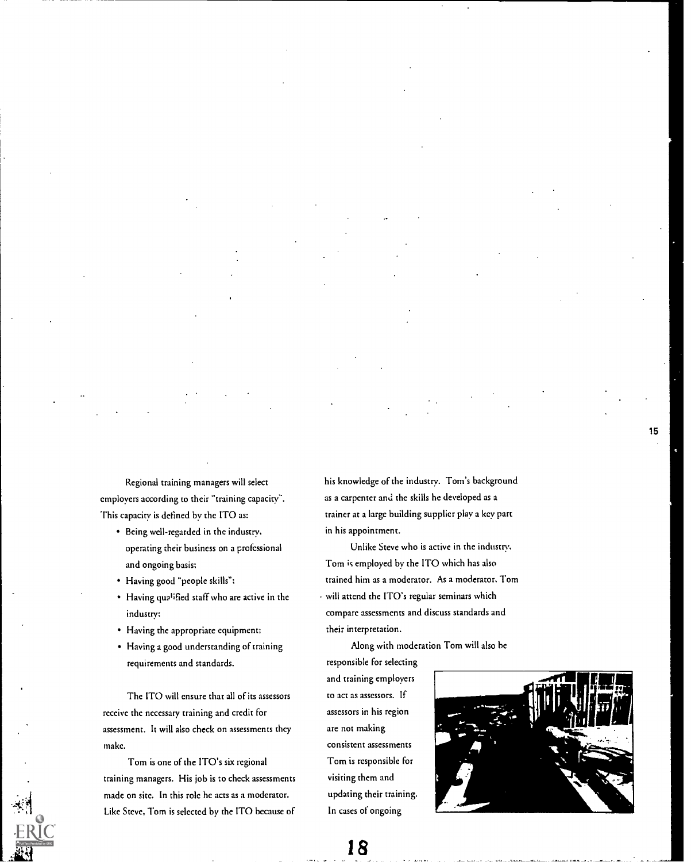Regional training managers will select employers according to their "training capacity". This capacity is defined by thc ITO as:

- Being well-regarded in the industry, operating their business on a professional and ongoing basis;
- Having good "people skills";
- Having qualified staff who are active in the industry;
- Having the appropriate equipment;
- Having a good understanding of training requirements and standards.

The ITO will ensure that all of its assessors receive the necessary training and credit for assessment. It will also check on assessments they make.

Tom is one of the ITO's six regional training managers. His job is to check assessments made on site. In this role he acts as a moderator. Like Steve, Tom is selected by the ITO because of his knowledge of the industry. Tom's background as a carpenter and the skills he developed as a trainer at a large building supplier play a key part in his appointment.

Unlike Steve who is active in the industry, Tom is employed by the ITO which has also trained him as a moderator. As a moderator, Tom will attend the ITO's regular seminars which compare assessments and discuss standards and their interpretation.

Along with moderation Tom will also be

responsible for selecting and training employers to act as assessors. If assessors in his region are not making consistent assessments Tom is responsible for visiting them and updating their training. In cases of ongoing

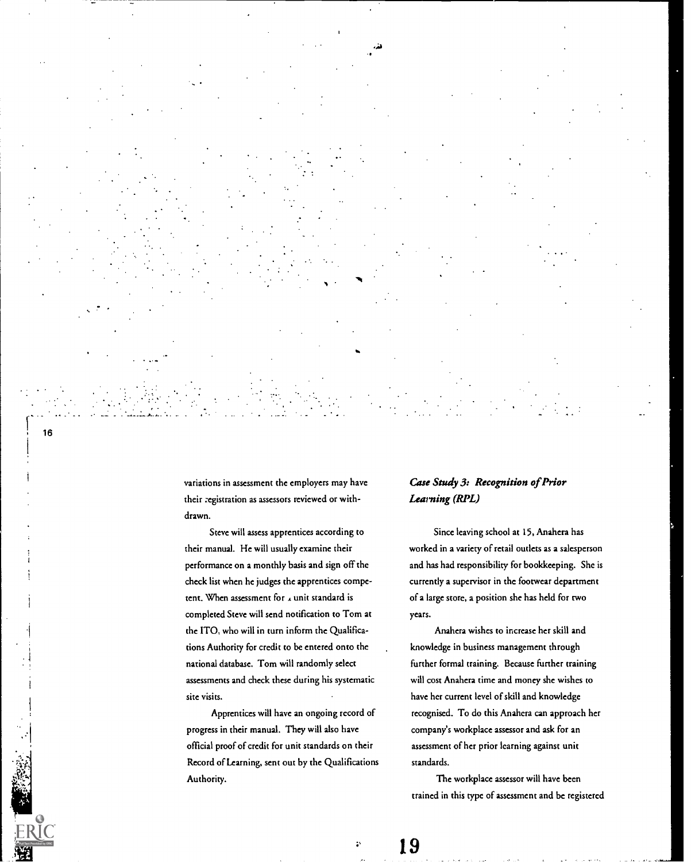variations in assessment the employers may have their :egistration as assessors reviewed or withdrawn.

Steve will assess apprentices according to their manual. He will usually examine their performance on a monthly basis and sign off the check list whcn he judges the apprentices competent. When assessment for  $\lambda$  unit standard is completed Steve will send notification to Tom at the ITO, who will in turn inform the Qualifications Authority for credit to be entered onto the national database. Tom will randomly select assessments and chcck these during his systematic site visits.

Apprentices will have an ongoing record of progress in their manual. They will also have official proof of credit for unit standards on their Record of Learning, sent out by the Qualifications Authority.

### Case Study 3: Recognition of Prior Learning (RPL)

Since leaving school at 15, Anahera has worked in a variety of retail outlets as a salesperson and has had responsibility for bookkeeping. She is currently a supervisor in the footwear department of a large store, a position she has held for two years.

Anahera wishes to increase her skill and knowledge in business management through further formal training. Because further training will cost Anahera time and money she wishes to have her current level of skill and knowledge recognised. To do this Anahera can approach her company's workplace assessor and ask for an assessment of her prior learning against unit standards.

The workplace assessor will have been trained in this type of assessment and be registered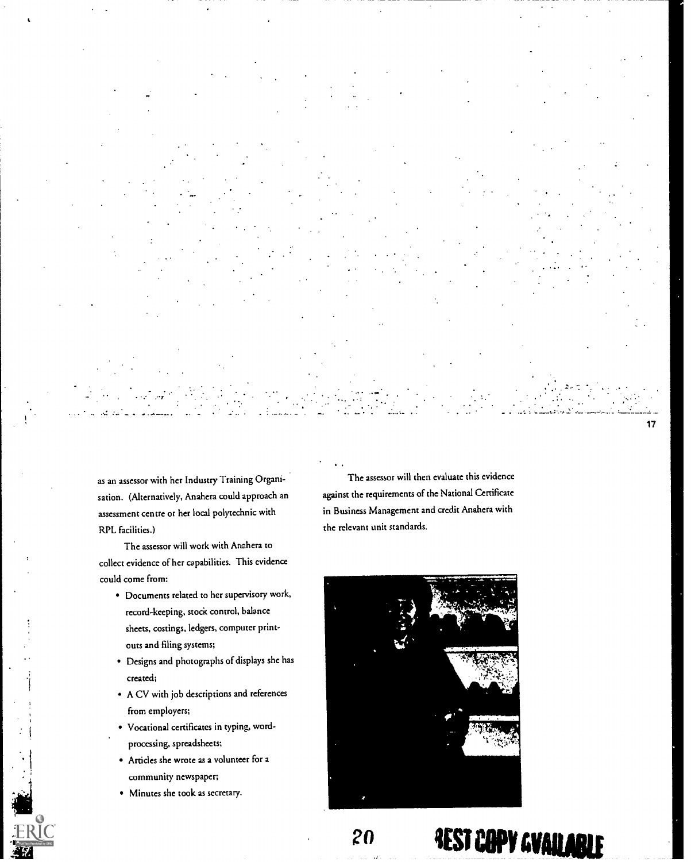$17$ 

as an assessor with her Industry Training Organisation. (Alternatively, Anahera could approach an assessment centre or her local polytechnic with RPL facilities.)

The assessor will work with Anahera to collect evidence of her capabilities. This evidence could come from:

- Documents related to her supervisory work, record-keeping, stock control, balance sheets, costings, ledgers, computer printouts and filing systems;
- Designs and photographs of displays she has created;
- A CV with job descriptions and references from employers;
- Vocational certificates in typing, wordproccssing, spreadsheets;
- Articles she wrote as a volunteer for a community newspaper;
- Minutes she took as secretary.

The assessor will then evaluate this evidence against the requirements of the National Certificate in Business Management and credit Anahera with the relevant unit standards.



# 20 **3EST CAPY GVAILABLE**